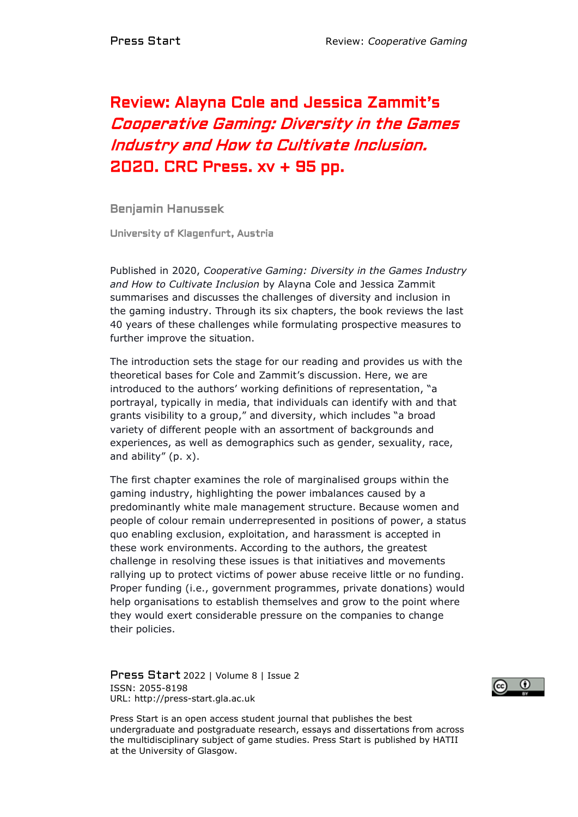## Review: Alayna Cole and Jessica Zammit's Cooperative Gaming: Diversity in the Games Industry and How to Cultivate Inclusion. 2020. CRC Press. xv + 95 pp.

Benjamin Hanussek

University of Klagenfurt, Austria

Published in 2020, *Cooperative Gaming: Diversity in the Games Industry and How to Cultivate Inclusion* by Alayna Cole and Jessica Zammit summarises and discusses the challenges of diversity and inclusion in the gaming industry. Through its six chapters, the book reviews the last 40 years of these challenges while formulating prospective measures to further improve the situation.

The introduction sets the stage for our reading and provides us with the theoretical bases for Cole and Zammit's discussion. Here, we are introduced to the authors' working definitions of representation, "a portrayal, typically in media, that individuals can identify with and that grants visibility to a group," and diversity, which includes "a broad variety of different people with an assortment of backgrounds and experiences, as well as demographics such as gender, sexuality, race, and ability" (p. x).

The first chapter examines the role of marginalised groups within the gaming industry, highlighting the power imbalances caused by a predominantly white male management structure. Because women and people of colour remain underrepresented in positions of power, a status quo enabling exclusion, exploitation, and harassment is accepted in these work environments. According to the authors, the greatest challenge in resolving these issues is that initiatives and movements rallying up to protect victims of power abuse receive little or no funding. Proper funding (i.e., government programmes, private donations) would help organisations to establish themselves and grow to the point where they would exert considerable pressure on the companies to change their policies.

Press Start 2022 | Volume 8 | Issue 2 ISSN: 2055-8198 URL: http://press-start.gla.ac.uk



Press Start is an open access student journal that publishes the best undergraduate and postgraduate research, essays and dissertations from across the multidisciplinary subject of game studies. Press Start is published by HATII at the University of Glasgow.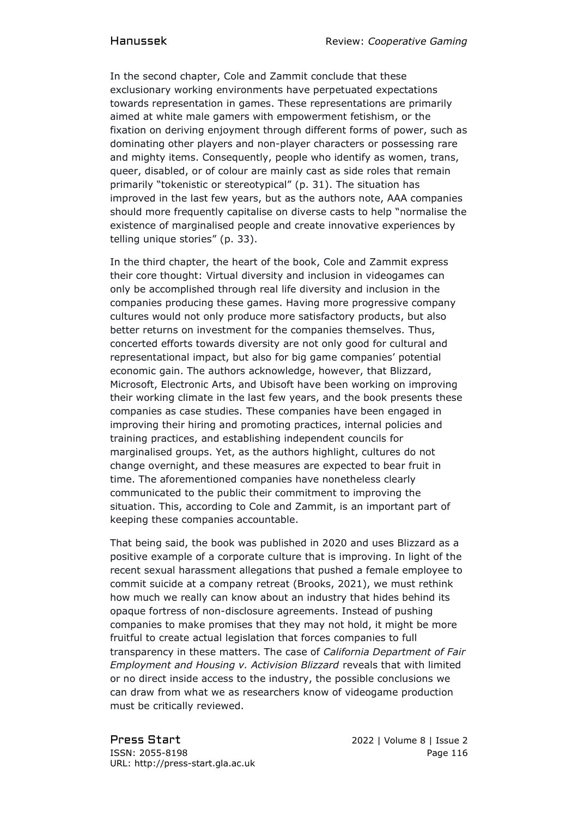In the second chapter, Cole and Zammit conclude that these exclusionary working environments have perpetuated expectations towards representation in games. These representations are primarily aimed at white male gamers with empowerment fetishism, or the fixation on deriving enjoyment through different forms of power, such as dominating other players and non-player characters or possessing rare and mighty items. Consequently, people who identify as women, trans, queer, disabled, or of colour are mainly cast as side roles that remain primarily "tokenistic or stereotypical" (p. 31). The situation has improved in the last few years, but as the authors note, AAA companies should more frequently capitalise on diverse casts to help "normalise the existence of marginalised people and create innovative experiences by telling unique stories" (p. 33).

In the third chapter, the heart of the book, Cole and Zammit express their core thought: Virtual diversity and inclusion in videogames can only be accomplished through real life diversity and inclusion in the companies producing these games. Having more progressive company cultures would not only produce more satisfactory products, but also better returns on investment for the companies themselves. Thus, concerted efforts towards diversity are not only good for cultural and representational impact, but also for big game companies' potential economic gain. The authors acknowledge, however, that Blizzard, Microsoft, Electronic Arts, and Ubisoft have been working on improving their working climate in the last few years, and the book presents these companies as case studies. These companies have been engaged in improving their hiring and promoting practices, internal policies and training practices, and establishing independent councils for marginalised groups. Yet, as the authors highlight, cultures do not change overnight, and these measures are expected to bear fruit in time. The aforementioned companies have nonetheless clearly communicated to the public their commitment to improving the situation. This, according to Cole and Zammit, is an important part of keeping these companies accountable.

That being said, the book was published in 2020 and uses Blizzard as a positive example of a corporate culture that is improving. In light of the recent sexual harassment allegations that pushed a female employee to commit suicide at a company retreat (Brooks, 2021), we must rethink how much we really can know about an industry that hides behind its opaque fortress of non-disclosure agreements. Instead of pushing companies to make promises that they may not hold, it might be more fruitful to create actual legislation that forces companies to full transparency in these matters. The case of *California Department of Fair Employment and Housing v. Activision Blizzard* reveals that with limited or no direct inside access to the industry, the possible conclusions we can draw from what we as researchers know of videogame production must be critically reviewed.

Press Start 2022 | Volume 8 | Issue 2 ISSN: 2055-8198 Page 116 URL: http://press-start.gla.ac.uk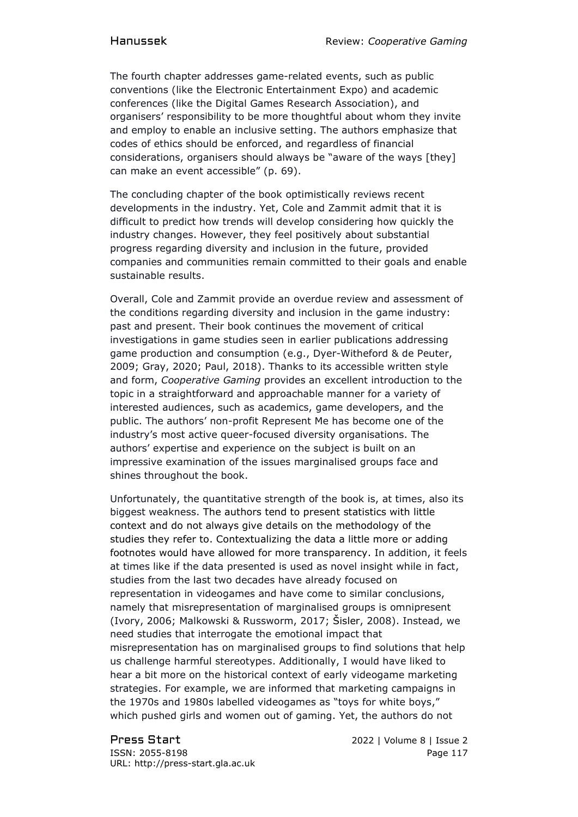The fourth chapter addresses game-related events, such as public conventions (like the Electronic Entertainment Expo) and academic conferences (like the Digital Games Research Association), and organisers' responsibility to be more thoughtful about whom they invite and employ to enable an inclusive setting. The authors emphasize that codes of ethics should be enforced, and regardless of financial considerations, organisers should always be "aware of the ways [they] can make an event accessible" (p. 69).

The concluding chapter of the book optimistically reviews recent developments in the industry. Yet, Cole and Zammit admit that it is difficult to predict how trends will develop considering how quickly the industry changes. However, they feel positively about substantial progress regarding diversity and inclusion in the future, provided companies and communities remain committed to their goals and enable sustainable results.

Overall, Cole and Zammit provide an overdue review and assessment of the conditions regarding diversity and inclusion in the game industry: past and present. Their book continues the movement of critical investigations in game studies seen in earlier publications addressing game production and consumption (e.g., Dyer-Witheford & de Peuter, 2009; Gray, 2020; Paul, 2018). Thanks to its accessible written style and form, *Cooperative Gaming* provides an excellent introduction to the topic in a straightforward and approachable manner for a variety of interested audiences, such as academics, game developers, and the public. The authors' non-profit Represent Me has become one of the industry's most active queer-focused diversity organisations. The authors' expertise and experience on the subject is built on an impressive examination of the issues marginalised groups face and shines throughout the book.

Unfortunately, the quantitative strength of the book is, at times, also its biggest weakness. The authors tend to present statistics with little context and do not always give details on the methodology of the studies they refer to. Contextualizing the data a little more or adding footnotes would have allowed for more transparency. In addition, it feels at times like if the data presented is used as novel insight while in fact, studies from the last two decades have already focused on representation in videogames and have come to similar conclusions, namely that misrepresentation of marginalised groups is omnipresent (Ivory, 2006; Malkowski & Russworm, 2017; Šisler, 2008). Instead, we need studies that interrogate the emotional impact that misrepresentation has on marginalised groups to find solutions that help us challenge harmful stereotypes. Additionally, I would have liked to hear a bit more on the historical context of early videogame marketing strategies. For example, we are informed that marketing campaigns in the 1970s and 1980s labelled videogames as "toys for white boys," which pushed girls and women out of gaming. Yet, the authors do not

ISSN: 2055-8198 Page 117 URL: http://press-start.gla.ac.uk

Press Start 2022 | Volume 8 | Issue 2